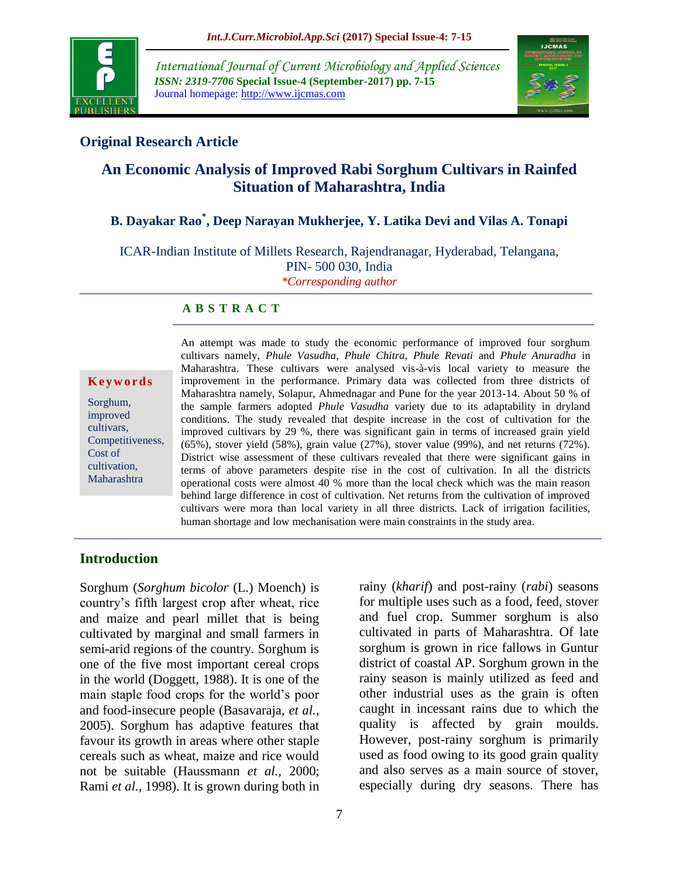

*International Journal of Current Microbiology and Applied Sciences ISSN: 2319-7706* **Special Issue-4 (September-2017) pp. 7-15** Journal homepage: http://www.ijcmas.com



## **Original Research Article**

# **An Economic Analysis of Improved Rabi Sorghum Cultivars in Rainfed Situation of Maharashtra, India**

# **B. Dayakar Rao\* , Deep Narayan Mukherjee, Y. Latika Devi and Vilas A. Tonapi**

ICAR-Indian Institute of Millets Research, Rajendranagar, Hyderabad, Telangana, PIN- 500 030, India *\*Corresponding author*

#### **A B S T R A C T**

**K e y w o r d s**

Sorghum, improved cultivars, Competitiveness, Cost of cultivation, Maharashtra

An attempt was made to study the economic performance of improved four sorghum cultivars namely, *Phule Vasudha*, *Phule Chitra*, *Phule Revati* and *Phule Anuradha* in Maharashtra. These cultivars were analysed vis-à-vis local variety to measure the improvement in the performance. Primary data was collected from three districts of Maharashtra namely, Solapur, Ahmednagar and Pune for the year 2013-14. About 50 % of the sample farmers adopted *Phule Vasudha* variety due to its adaptability in dryland conditions. The study revealed that despite increase in the cost of cultivation for the improved cultivars by 29 %, there was significant gain in terms of increased grain yield (65%), stover yield (58%), grain value (27%), stover value (99%), and net returns (72%). District wise assessment of these cultivars revealed that there were significant gains in terms of above parameters despite rise in the cost of cultivation. In all the districts operational costs were almost 40 % more than the local check which was the main reason behind large difference in cost of cultivation. Net returns from the cultivation of improved cultivars were mora than local variety in all three districts. Lack of irrigation facilities, human shortage and low mechanisation were main constraints in the study area.

### **Introduction**

Sorghum (*Sorghum bicolor* (L.) Moench) is country's fifth largest crop after wheat, rice and maize and pearl millet that is being cultivated by marginal and small farmers in semi-arid regions of the country. Sorghum is one of the five most important cereal crops in the world (Doggett, 1988). It is one of the main staple food crops for the world's poor and food-insecure people (Basavaraja, *et al.,* 2005). Sorghum has adaptive features that favour its growth in areas where other staple cereals such as wheat, maize and rice would not be suitable (Haussmann *et al.,* 2000; Rami *et al.,* 1998). It is grown during both in

rainy (*kharif*) and post-rainy (*rabi*) seasons for multiple uses such as a food, feed, stover and fuel crop. Summer sorghum is also cultivated in parts of Maharashtra. Of late sorghum is grown in rice fallows in Guntur district of coastal AP. Sorghum grown in the rainy season is mainly utilized as feed and other industrial uses as the grain is often caught in incessant rains due to which the quality is affected by grain moulds. However, post-rainy sorghum is primarily used as food owing to its good grain quality and also serves as a main source of stover, especially during dry seasons. There has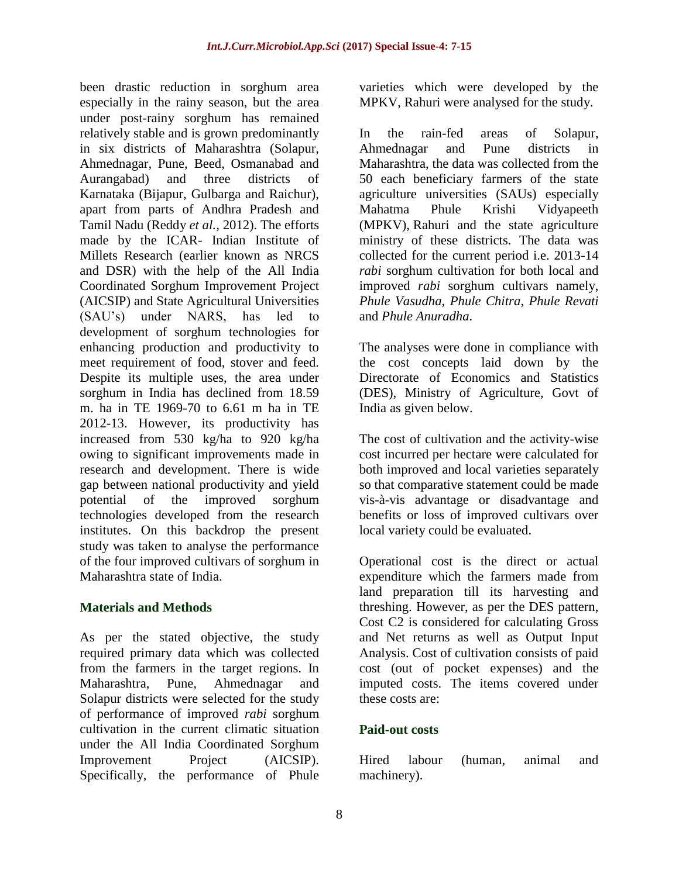been drastic reduction in sorghum area especially in the rainy season, but the area under post-rainy sorghum has remained relatively stable and is grown predominantly in six districts of Maharashtra (Solapur, Ahmednagar, Pune, Beed, Osmanabad and Aurangabad) and three districts of Karnataka (Bijapur, Gulbarga and Raichur), apart from parts of Andhra Pradesh and Tamil Nadu (Reddy *et al.,* 2012). The efforts made by the ICAR- Indian Institute of Millets Research (earlier known as NRCS and DSR) with the help of the All India Coordinated Sorghum Improvement Project (AICSIP) and State Agricultural Universities (SAU's) under NARS, has led to development of sorghum technologies for enhancing production and productivity to meet requirement of food, stover and feed. Despite its multiple uses, the area under sorghum in India has declined from 18.59 m. ha in TE 1969-70 to 6.61 m ha in TE 2012-13. However, its productivity has increased from 530 kg/ha to 920 kg/ha owing to significant improvements made in research and development. There is wide gap between national productivity and yield potential of the improved sorghum technologies developed from the research institutes. On this backdrop the present study was taken to analyse the performance of the four improved cultivars of sorghum in Maharashtra state of India.

### **Materials and Methods**

As per the stated objective, the study required primary data which was collected from the farmers in the target regions. In Maharashtra, Pune, Ahmednagar and Solapur districts were selected for the study of performance of improved *rabi* sorghum cultivation in the current climatic situation under the All India Coordinated Sorghum Improvement Project (AICSIP). Specifically, the performance of Phule

varieties which were developed by the MPKV, Rahuri were analysed for the study.

In the rain-fed areas of Solapur, Ahmednagar and Pune districts in Maharashtra, the data was collected from the 50 each beneficiary farmers of the state agriculture universities (SAUs) especially Mahatma Phule Krishi Vidyapeeth (MPKV), Rahuri and the state agriculture ministry of these districts. The data was collected for the current period i.e. 2013-14 *rabi* sorghum cultivation for both local and improved *rabi* sorghum cultivars namely, *Phule Vasudha*, *Phule Chitra*, *Phule Revati*  and *Phule Anuradha*.

The analyses were done in compliance with the cost concepts laid down by the Directorate of Economics and Statistics (DES), Ministry of Agriculture, Govt of India as given below.

The cost of cultivation and the activity-wise cost incurred per hectare were calculated for both improved and local varieties separately so that comparative statement could be made vis-à-vis advantage or disadvantage and benefits or loss of improved cultivars over local variety could be evaluated.

Operational cost is the direct or actual expenditure which the farmers made from land preparation till its harvesting and threshing. However, as per the DES pattern, Cost C2 is considered for calculating Gross and Net returns as well as Output Input Analysis. Cost of cultivation consists of paid cost (out of pocket expenses) and the imputed costs. The items covered under these costs are:

### **Paid-out costs**

Hired labour (human, animal and machinery).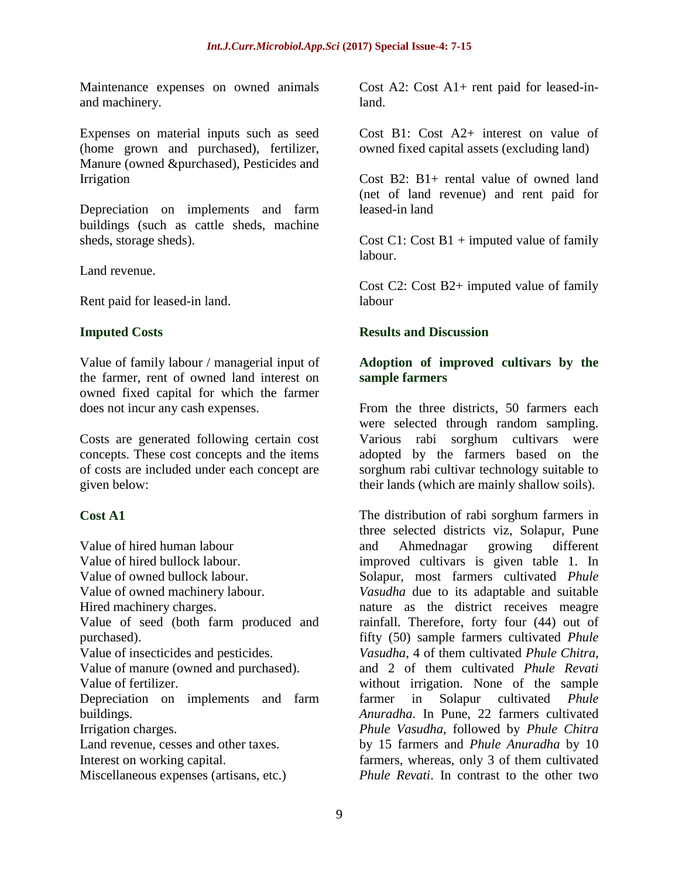Maintenance expenses on owned animals and machinery.

Expenses on material inputs such as seed (home grown and purchased), fertilizer, Manure (owned &purchased), Pesticides and Irrigation

Depreciation on implements and farm buildings (such as cattle sheds, machine sheds, storage sheds).

Land revenue.

Rent paid for leased-in land.

#### **Imputed Costs**

Value of family labour / managerial input of the farmer, rent of owned land interest on owned fixed capital for which the farmer does not incur any cash expenses.

Costs are generated following certain cost concepts. These cost concepts and the items of costs are included under each concept are given below:

#### **Cost A1**

Value of hired human labour Value of hired bullock labour. Value of owned bullock labour. Value of owned machinery labour. Hired machinery charges. Value of seed (both farm produced and purchased). Value of insecticides and pesticides. Value of manure (owned and purchased). Value of fertilizer. Depreciation on implements and farm buildings. Irrigation charges. Land revenue, cesses and other taxes. Interest on working capital. Miscellaneous expenses (artisans, etc.)

Cost A2: Cost A1+ rent paid for leased-inland.

Cost B1: Cost A2+ interest on value of owned fixed capital assets (excluding land)

Cost B2: B1+ rental value of owned land (net of land revenue) and rent paid for leased-in land

Cost C1: Cost  $B1$  + imputed value of family labour.

Cost C2: Cost B2+ imputed value of family labour

#### **Results and Discussion**

#### **Adoption of improved cultivars by the sample farmers**

From the three districts, 50 farmers each were selected through random sampling. Various rabi sorghum cultivars were adopted by the farmers based on the sorghum rabi cultivar technology suitable to their lands (which are mainly shallow soils).

The distribution of rabi sorghum farmers in three selected districts viz, Solapur, Pune and Ahmednagar growing different improved cultivars is given table 1. In Solapur, most farmers cultivated *Phule Vasudha* due to its adaptable and suitable nature as the district receives meagre rainfall. Therefore, forty four (44) out of fifty (50) sample farmers cultivated *Phule Vasudha*, 4 of them cultivated *Phule Chitra*, and 2 of them cultivated *Phule Revati*  without irrigation. None of the sample farmer in Solapur cultivated *Phule Anuradha*. In Pune, 22 farmers cultivated *Phule Vasudha*, followed by *Phule Chitra*  by 15 farmers and *Phule Anuradha* by 10 farmers, whereas, only 3 of them cultivated *Phule Revati*. In contrast to the other two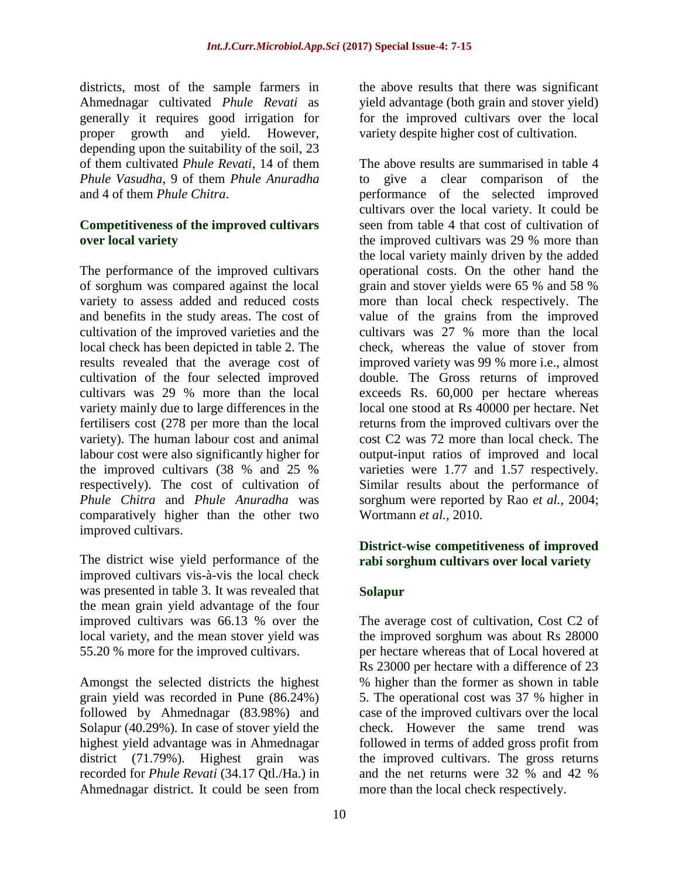districts, most of the sample farmers in Ahmednagar cultivated *Phule Revati* as generally it requires good irrigation for proper growth and yield. However, depending upon the suitability of the soil, 23 of them cultivated *Phule Revati*, 14 of them *Phule Vasudha*, 9 of them *Phule Anuradha*  and 4 of them *Phule Chitra*.

## **Competitiveness of the improved cultivars over local variety**

The performance of the improved cultivars of sorghum was compared against the local variety to assess added and reduced costs and benefits in the study areas. The cost of cultivation of the improved varieties and the local check has been depicted in table 2. The results revealed that the average cost of cultivation of the four selected improved cultivars was 29 % more than the local variety mainly due to large differences in the fertilisers cost (278 per more than the local variety). The human labour cost and animal labour cost were also significantly higher for the improved cultivars (38 % and 25 % respectively). The cost of cultivation of *Phule Chitra* and *Phule Anuradha* was comparatively higher than the other two improved cultivars.

The district wise yield performance of the improved cultivars vis-à-vis the local check was presented in table 3. It was revealed that the mean grain yield advantage of the four improved cultivars was 66.13 % over the local variety, and the mean stover yield was 55.20 % more for the improved cultivars.

Amongst the selected districts the highest grain yield was recorded in Pune (86.24%) followed by Ahmednagar (83.98%) and Solapur (40.29%). In case of stover yield the highest yield advantage was in Ahmednagar district (71.79%). Highest grain was recorded for *Phule Revati* (34.17 Qtl./Ha.) in Ahmednagar district. It could be seen from

the above results that there was significant yield advantage (both grain and stover yield) for the improved cultivars over the local variety despite higher cost of cultivation.

The above results are summarised in table 4 to give a clear comparison of the performance of the selected improved cultivars over the local variety. It could be seen from table 4 that cost of cultivation of the improved cultivars was 29 % more than the local variety mainly driven by the added operational costs. On the other hand the grain and stover yields were 65 % and 58 % more than local check respectively. The value of the grains from the improved cultivars was 27 % more than the local check, whereas the value of stover from improved variety was 99 % more i.e., almost double. The Gross returns of improved exceeds Rs. 60,000 per hectare whereas local one stood at Rs 40000 per hectare. Net returns from the improved cultivars over the cost C2 was 72 more than local check. The output-input ratios of improved and local varieties were 1.77 and 1.57 respectively. Similar results about the performance of sorghum were reported by Rao *et al.,* 2004; Wortmann *et al.,* 2010.

## **District-wise competitiveness of improved rabi sorghum cultivars over local variety**

## **Solapur**

The average cost of cultivation, Cost C2 of the improved sorghum was about Rs 28000 per hectare whereas that of Local hovered at Rs 23000 per hectare with a difference of 23 % higher than the former as shown in table 5. The operational cost was 37 % higher in case of the improved cultivars over the local check. However the same trend was followed in terms of added gross profit from the improved cultivars. The gross returns and the net returns were 32 % and 42 % more than the local check respectively.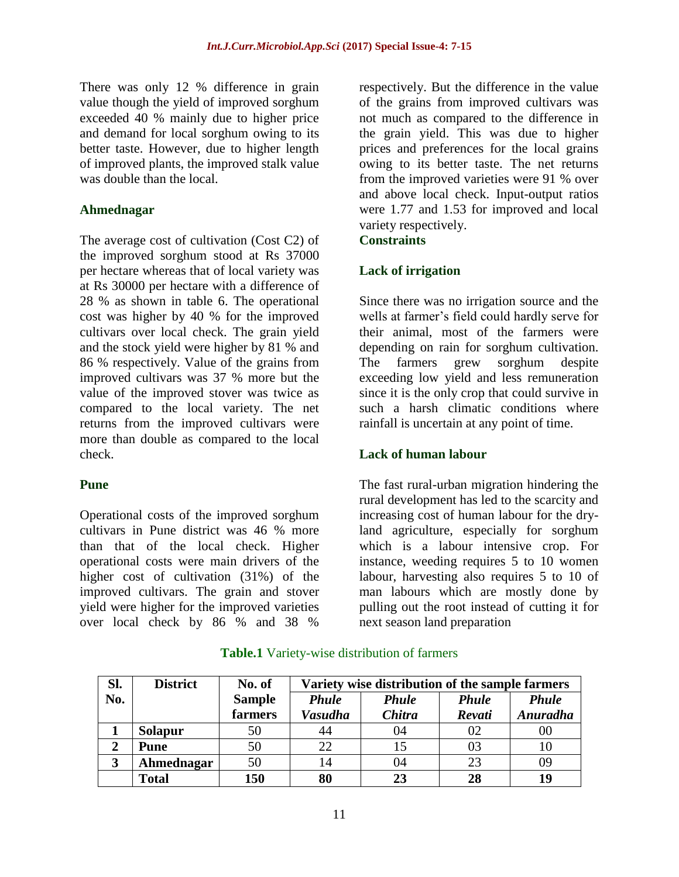There was only 12 % difference in grain value though the yield of improved sorghum exceeded 40 % mainly due to higher price and demand for local sorghum owing to its better taste. However, due to higher length of improved plants, the improved stalk value was double than the local.

#### **Ahmednagar**

The average cost of cultivation (Cost C2) of the improved sorghum stood at Rs 37000 per hectare whereas that of local variety was at Rs 30000 per hectare with a difference of 28 % as shown in table 6. The operational cost was higher by 40 % for the improved cultivars over local check. The grain yield and the stock yield were higher by 81 % and 86 % respectively. Value of the grains from improved cultivars was 37 % more but the value of the improved stover was twice as compared to the local variety. The net returns from the improved cultivars were more than double as compared to the local check.

#### **Pune**

Operational costs of the improved sorghum cultivars in Pune district was 46 % more than that of the local check. Higher operational costs were main drivers of the higher cost of cultivation (31%) of the improved cultivars. The grain and stover yield were higher for the improved varieties over local check by 86 % and 38 %

respectively. But the difference in the value of the grains from improved cultivars was not much as compared to the difference in the grain yield. This was due to higher prices and preferences for the local grains owing to its better taste. The net returns from the improved varieties were 91 % over and above local check. Input-output ratios were 1.77 and 1.53 for improved and local variety respectively.

### **Constraints**

### **Lack of irrigation**

Since there was no irrigation source and the wells at farmer's field could hardly serve for their animal, most of the farmers were depending on rain for sorghum cultivation. The farmers grew sorghum despite exceeding low yield and less remuneration since it is the only crop that could survive in such a harsh climatic conditions where rainfall is uncertain at any point of time.

#### **Lack of human labour**

The fast rural-urban migration hindering the rural development has led to the scarcity and increasing cost of human labour for the dryland agriculture, especially for sorghum which is a labour intensive crop. For instance, weeding requires 5 to 10 women labour, harvesting also requires 5 to 10 of man labours which are mostly done by pulling out the root instead of cutting it for next season land preparation

| Sl. | <b>District</b> | No. of        | Variety wise distribution of the sample farmers |               |              |                 |  |  |  |  |  |
|-----|-----------------|---------------|-------------------------------------------------|---------------|--------------|-----------------|--|--|--|--|--|
| No. |                 | <b>Sample</b> | <b>Phule</b>                                    | <b>Phule</b>  | <b>Phule</b> | <b>Phule</b>    |  |  |  |  |  |
|     |                 | farmers       | Vasudha                                         | <b>Chitra</b> | Revati       | <b>Anuradha</b> |  |  |  |  |  |
|     | <b>Solapur</b>  | 50            |                                                 | 04            | 02           | 00              |  |  |  |  |  |
|     | <b>Pune</b>     | 50            | 22                                              | 15            | 03           |                 |  |  |  |  |  |
| 3   | Ahmednagar      | 50            | 14                                              | 04            | 23           | 09              |  |  |  |  |  |
|     | <b>Total</b>    | 150           | 80                                              | 23            | 28           | 19              |  |  |  |  |  |

#### **Table.1** Variety-wise distribution of farmers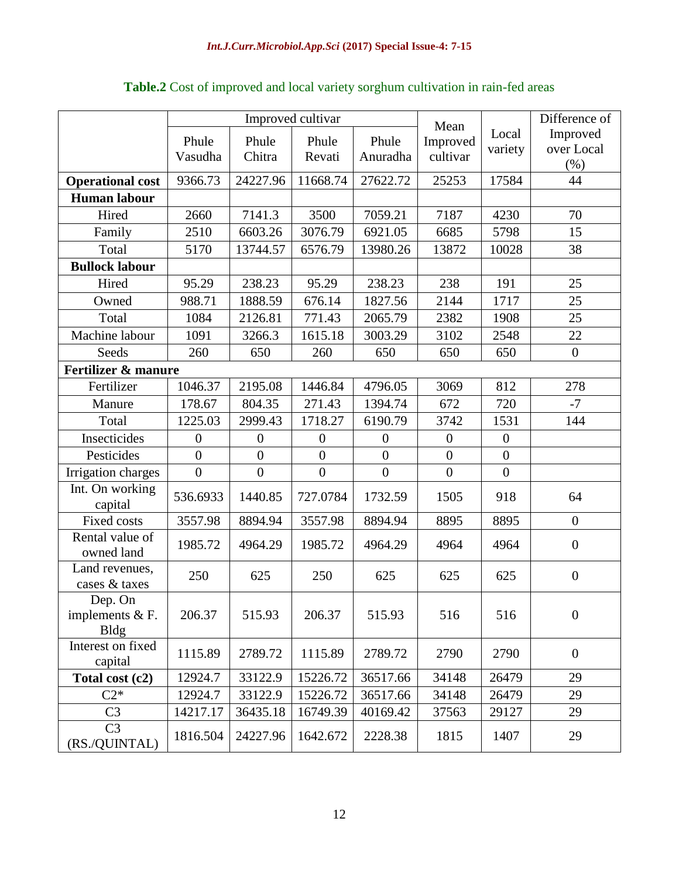|                                             |                  |                | Improved cultivar | Mean           |                  | Difference of    |                  |
|---------------------------------------------|------------------|----------------|-------------------|----------------|------------------|------------------|------------------|
|                                             | Phule            | Phule          | Phule             | Phule          | Improved         | Local            | Improved         |
|                                             | Vasudha          | Chitra         | Revati            | Anuradha       | cultivar         | variety          | over Local       |
|                                             |                  |                |                   |                |                  |                  | (%)              |
| <b>Operational cost</b>                     | 9366.73          | 24227.96       | 11668.74          | 27622.72       | 25253            | 17584            | 44               |
| <b>Human labour</b>                         |                  |                |                   |                |                  |                  |                  |
| Hired                                       | 2660             | 7141.3         | 3500              | 7059.21        | 7187             | 4230             | 70               |
| Family                                      | 2510             | 6603.26        | 3076.79           | 6921.05        | 6685             | 5798             | 15               |
| Total                                       | 5170             | 13744.57       | 6576.79           | 13980.26       | 13872            | 10028            | 38               |
| <b>Bullock labour</b>                       |                  |                |                   |                |                  |                  |                  |
| Hired                                       | 95.29            | 238.23         | 95.29             | 238.23         | 238              | 191              | 25               |
| Owned                                       | 988.71           | 1888.59        | 676.14            | 1827.56        | 2144             | 1717             | 25               |
| Total                                       | 1084             | 2126.81        | 771.43            | 2065.79        | 2382             | 1908             | 25               |
| Machine labour                              | 1091             | 3266.3         | 1615.18           | 3003.29        | 3102             | 2548             | 22               |
| Seeds                                       | 260              | 650            | 260               | 650            | 650              | 650              | $\boldsymbol{0}$ |
| Fertilizer & manure                         |                  |                |                   |                |                  |                  |                  |
| Fertilizer                                  | 1046.37          | 2195.08        | 1446.84           | 4796.05        | 3069             | 812              | 278              |
| Manure                                      | 178.67           | 804.35         | 271.43            | 1394.74        | 672              | 720              | $-7$             |
| Total                                       | 1225.03          | 2999.43        | 1718.27           | 6190.79        | 3742             | 1531             | 144              |
| Insecticides                                | $\boldsymbol{0}$ | $\theta$       | $\overline{0}$    | $\overline{0}$ | $\mathbf{0}$     | $\overline{0}$   |                  |
| Pesticides                                  | $\overline{0}$   | $\overline{0}$ | $\overline{0}$    | $\overline{0}$ | $\boldsymbol{0}$ | $\overline{0}$   |                  |
| Irrigation charges                          | $\overline{0}$   | $\overline{0}$ | $\overline{0}$    | $\overline{0}$ | $\overline{0}$   | $\boldsymbol{0}$ |                  |
| Int. On working<br>capital                  | 536.6933         | 1440.85        | 727.0784          | 1732.59        | 1505             | 918              | 64               |
| Fixed costs                                 | 3557.98          | 8894.94        | 3557.98           | 8894.94        | 8895             | 8895             | $\overline{0}$   |
| Rental value of<br>owned land               | 1985.72          | 4964.29        | 1985.72           | 4964.29        | 4964             | 4964             | $\boldsymbol{0}$ |
| Land revenues,<br>cases & taxes             | 250              | 625            | 250               | 625            | 625              | 625              | $\boldsymbol{0}$ |
| Dep. On<br>implements $& F.$<br><b>Bldg</b> | 206.37           | 515.93         | 206.37            | 515.93         | 516              | 516              | $\boldsymbol{0}$ |
| Interest on fixed<br>capital                | 1115.89          | 2789.72        | 1115.89           | 2789.72        | 2790             | 2790             | $\boldsymbol{0}$ |
| Total cost (c2)                             | 12924.7          | 33122.9        | 15226.72          | 36517.66       | 34148            | 26479            | 29               |
| $C2*$                                       | 12924.7          | 33122.9        | 15226.72          | 36517.66       | 34148            | 26479            | 29               |
| C <sub>3</sub>                              | 14217.17         | 36435.18       | 16749.39          | 40169.42       | 37563            | 29127            | 29               |
| C <sub>3</sub><br>(RS./QUINTAL)             | 1816.504         | 24227.96       | 1642.672          | 2228.38        | 1815             | 1407             | 29               |

## **Table.2** Cost of improved and local variety sorghum cultivation in rain-fed areas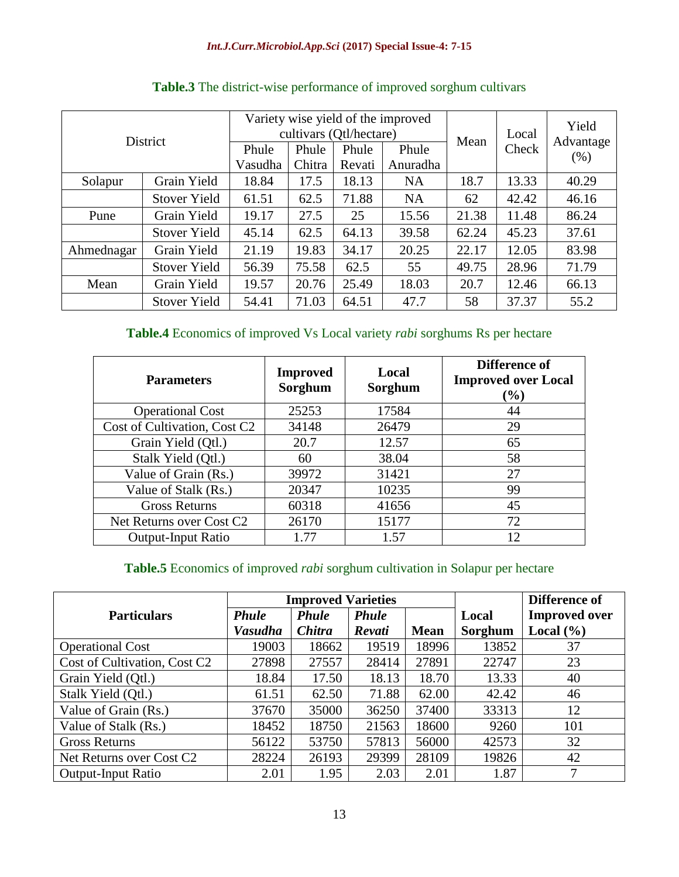| <b>District</b>        | Phule<br>Vasudha    | Variety wise yield of the improved<br>cultivars (Qtl/hectare)<br>Phule<br>Revati | Mean  | Local<br>Check | Yield<br>Advantage<br>(% ) |       |       |       |
|------------------------|---------------------|----------------------------------------------------------------------------------|-------|----------------|----------------------------|-------|-------|-------|
| Grain Yield<br>Solapur |                     | 18.84                                                                            | 17.5  | 18.13          | <b>NA</b>                  | 18.7  |       | 40.29 |
|                        | <b>Stover Yield</b> | 61.51                                                                            | 62.5  | 71.88          | <b>NA</b>                  | 62    | 42.42 | 46.16 |
| Pune                   | Grain Yield         | 19.17                                                                            | 27.5  | 25             | 15.56                      | 21.38 | 11.48 | 86.24 |
|                        | <b>Stover Yield</b> | 45.14                                                                            | 62.5  | 64.13          | 39.58                      | 62.24 | 45.23 | 37.61 |
| Ahmednagar             | Grain Yield         | 21.19                                                                            | 19.83 | 34.17          | 20.25                      | 22.17 | 12.05 | 83.98 |
|                        | <b>Stover Yield</b> | 56.39                                                                            | 75.58 | 62.5           | 55                         | 49.75 | 28.96 | 71.79 |
| Grain Yield<br>Mean    |                     | 19.57                                                                            | 20.76 | 25.49          | 18.03                      | 20.7  | 12.46 | 66.13 |
| <b>Stover Yield</b>    |                     | 54.41                                                                            | 71.03 | 64.51          | 47.7                       | 58    | 37.37 | 55.2  |

# **Table.3** The district-wise performance of improved sorghum cultivars

# **Table.4** Economics of improved Vs Local variety *rabi* sorghums Rs per hectare

| <b>Parameters</b>                    | <b>Improved</b><br>Sorghum | Local<br>Sorghum | Difference of<br><b>Improved over Local</b><br>(%) |  |  |
|--------------------------------------|----------------------------|------------------|----------------------------------------------------|--|--|
| <b>Operational Cost</b>              | 25253                      | 17584            | 44                                                 |  |  |
| Cost of Cultivation, Cost C2         | 34148                      | 26479            | 29                                                 |  |  |
| Grain Yield (Qtl.)                   | 20.7                       | 12.57            | 65                                                 |  |  |
| Stalk Yield (Qtl.)                   | 60                         | 38.04            | 58                                                 |  |  |
| Value of Grain (Rs.)                 | 39972                      | 31421            | 27                                                 |  |  |
| Value of Stalk (Rs.)                 | 20347                      | 10235            | 99                                                 |  |  |
| <b>Gross Returns</b>                 | 60318                      | 41656            | 45                                                 |  |  |
| Net Returns over Cost C <sub>2</sub> | 26170                      | 15177            | 72                                                 |  |  |
| <b>Output-Input Ratio</b>            | 1.77                       | 1.57             | 12                                                 |  |  |

## **Table.5** Economics of improved *rabi* sorghum cultivation in Solapur per hectare

|                                      |                              | <b>Improved Varieties</b> |              |             | Difference of |                      |
|--------------------------------------|------------------------------|---------------------------|--------------|-------------|---------------|----------------------|
| <b>Particulars</b>                   | <b>Phule</b><br><b>Phule</b> |                           | <b>Phule</b> |             | Local         | <b>Improved over</b> |
|                                      | <b>Vasudha</b>               | <b>Chitra</b>             | Revati       | <b>Mean</b> | Sorghum       | Local $(\% )$        |
| <b>Operational Cost</b>              | 19003                        | 18662                     | 19519        | 18996       | 13852         | 37                   |
| Cost of Cultivation, Cost C2         | 27898                        | 27557                     | 28414        | 27891       | 22747         | 23                   |
| Grain Yield (Qtl.)                   | 18.84                        | 17.50                     | 18.13        | 18.70       | 13.33         | 40                   |
| Stalk Yield (Qtl.)                   | 61.51                        | 62.50                     | 71.88        | 62.00       | 42.42         | 46                   |
| Value of Grain (Rs.)                 | 37670                        | 35000                     | 36250        | 37400       | 33313         | 12                   |
| Value of Stalk (Rs.)                 | 18452                        | 18750                     | 21563        | 18600       | 9260          | 101                  |
| <b>Gross Returns</b>                 | 56122                        | 53750                     | 57813        | 56000       | 42573         | 32                   |
| Net Returns over Cost C <sub>2</sub> | 28224                        | 26193                     | 29399        | 28109       | 19826         | 42                   |
| <b>Output-Input Ratio</b>            | 2.01                         | 1.95                      | 2.03         | 2.01        | 1.87          | 7                    |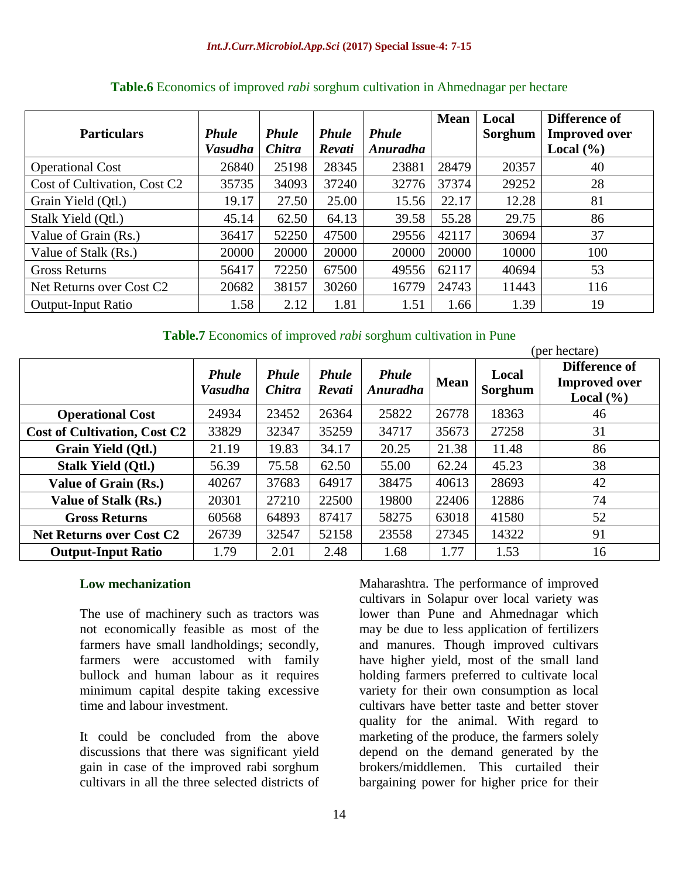|                                      |                |               |              |              | <b>Mean</b> | Local   | Difference of        |
|--------------------------------------|----------------|---------------|--------------|--------------|-------------|---------|----------------------|
| <b>Particulars</b>                   | <b>Phule</b>   | <b>Phule</b>  | <b>Phule</b> | <b>Phule</b> |             | Sorghum | <b>Improved over</b> |
|                                      | <b>Vasudha</b> | <b>Chitra</b> | Revati       | Anuradha     |             |         | Local $(\% )$        |
| <b>Operational Cost</b>              | 26840          | 25198         | 28345        | 23881        | 28479       | 20357   | 40                   |
| Cost of Cultivation, Cost C2         | 35735          | 34093         | 37240        | 32776        | 37374       | 29252   | 28                   |
| Grain Yield (Qtl.)                   | 19.17          | 27.50         | 25.00        | 15.56        | 22.17       | 12.28   | 81                   |
| Stalk Yield (Qtl.)                   | 45.14          | 62.50         | 64.13        | 39.58        | 55.28       | 29.75   | 86                   |
| Value of Grain (Rs.)                 | 36417          | 52250         | 47500        | 29556        | 42117       | 30694   | 37                   |
| Value of Stalk (Rs.)                 | 20000          | 20000         | 20000        | 20000        | 20000       | 10000   | 100                  |
| <b>Gross Returns</b>                 | 56417          | 72250         | 67500        | 49556        | 62117       | 40694   | 53                   |
| Net Returns over Cost C <sub>2</sub> | 20682          | 38157         | 30260        | 16779        | 24743       | 11443   | 116                  |
| <b>Output-Input Ratio</b>            | 1.58           | 2.12          | 1.81         | 1.51         | 1.66        | 1.39    | 19                   |

### **Table.6** Economics of improved *rabi* sorghum cultivation in Ahmednagar per hectare

**Table.7** Economics of improved *rabi* sorghum cultivation in Pune

|                                     |                                |                               |                        |                          |             | (per hectare)    |                                                        |  |  |
|-------------------------------------|--------------------------------|-------------------------------|------------------------|--------------------------|-------------|------------------|--------------------------------------------------------|--|--|
|                                     | <b>Phule</b><br><b>Vasudha</b> | <b>Phule</b><br><b>Chitra</b> | <b>Phule</b><br>Revati | <b>Phule</b><br>Anuradha | <b>Mean</b> | Local<br>Sorghum | Difference of<br><b>Improved</b> over<br>Local $(\% )$ |  |  |
| <b>Operational Cost</b>             | 24934                          | 23452                         | 26364                  | 25822                    | 26778       | 18363            | 46                                                     |  |  |
| <b>Cost of Cultivation, Cost C2</b> | 33829                          | 32347                         | 35259                  | 34717                    | 35673       | 27258            | 31                                                     |  |  |
| Grain Yield (Qtl.)                  | 21.19                          | 19.83                         | 34.17                  | 20.25                    | 21.38       | 11.48            | 86                                                     |  |  |
| <b>Stalk Yield (Qtl.)</b>           | 56.39                          | 75.58                         | 62.50                  | 55.00                    | 62.24       | 45.23            | 38                                                     |  |  |
| Value of Grain (Rs.)                | 40267                          | 37683                         | 64917                  | 38475                    | 40613       | 28693            | 42                                                     |  |  |
| Value of Stalk (Rs.)                | 20301                          | 27210                         | 22500                  | 19800                    | 22406       | 12886            | 74                                                     |  |  |
| <b>Gross Returns</b>                | 60568                          | 64893                         | 87417                  | 58275                    | 63018       | 41580            | 52                                                     |  |  |
| <b>Net Returns over Cost C2</b>     | 26739                          | 32547                         | 52158                  | 23558                    | 27345       | 14322            | 91                                                     |  |  |
| <b>Output-Input Ratio</b>           | 1.79                           | 2.01                          | 2.48                   | 1.68                     | 1.77        | 1.53             | 16                                                     |  |  |

### **Low mechanization**

The use of machinery such as tractors was not economically feasible as most of the farmers have small landholdings; secondly, farmers were accustomed with family bullock and human labour as it requires minimum capital despite taking excessive time and labour investment.

It could be concluded from the above discussions that there was significant yield gain in case of the improved rabi sorghum cultivars in all the three selected districts of

Maharashtra. The performance of improved cultivars in Solapur over local variety was lower than Pune and Ahmednagar which may be due to less application of fertilizers and manures. Though improved cultivars have higher yield, most of the small land holding farmers preferred to cultivate local variety for their own consumption as local cultivars have better taste and better stover quality for the animal. With regard to marketing of the produce, the farmers solely depend on the demand generated by the brokers/middlemen. This curtailed their bargaining power for higher price for their